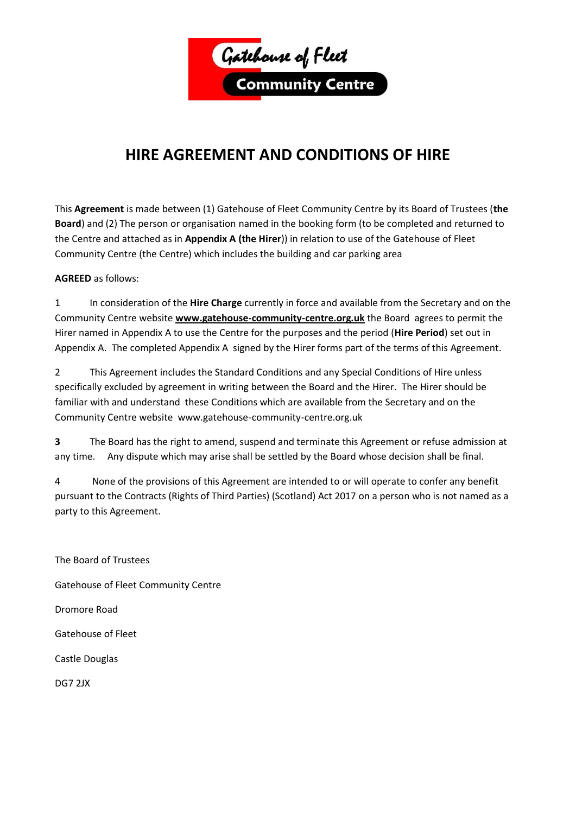

# **HIRE AGREEMENT AND CONDITIONS OF HIRE**

This **Agreement** is made between (1) Gatehouse of Fleet Community Centre by its Board of Trustees (**the Board**) and (2) The person or organisation named in the booking form (to be completed and returned to the Centre and attached as in **Appendix A (the Hirer**)) in relation to use of the Gatehouse of Fleet Community Centre (the Centre) which includes the building and car parking area

## **AGREED** as follows:

1 In consideration of the **Hire Charge** currently in force and available from the Secretary and on the Community Centre website **[www.gatehouse-community-centre.org.uk](http://www.gatehouse-community-centre.org.uk/)** the Board agrees to permit the Hirer named in Appendix A to use the Centre for the purposes and the period (**Hire Period**) set out in Appendix A. The completed Appendix A signed by the Hirer forms part of the terms of this Agreement.

2 This Agreement includes the Standard Conditions and any Special Conditions of Hire unless specifically excluded by agreement in writing between the Board and the Hirer. The Hirer should be familiar with and understand these Conditions which are available from the Secretary and on the Community Centre website www.gatehouse-community-centre.org.uk

**3** The Board has the right to amend, suspend and terminate this Agreement or refuse admission at any time. Any dispute which may arise shall be settled by the Board whose decision shall be final.

4 None of the provisions of this Agreement are intended to or will operate to confer any benefit pursuant to the Contracts (Rights of Third Parties) (Scotland) Act 2017 on a person who is not named as a party to this Agreement.

The Board of Trustees Gatehouse of Fleet Community Centre Dromore Road Gatehouse of Fleet Castle Douglas DG7 2JX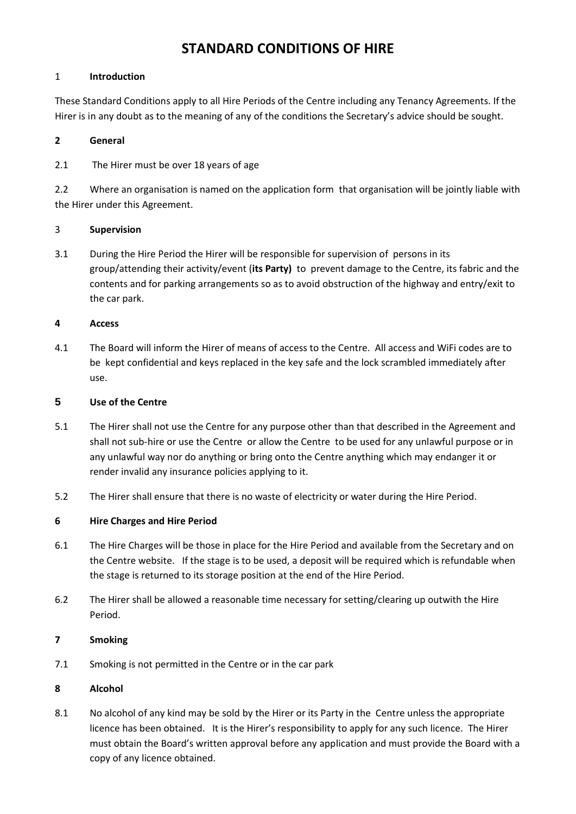# **STANDARD CONDITIONS OF HIRE**

#### 1 **Introduction**

These Standard Conditions apply to all Hire Periods of the Centre including any Tenancy Agreements. If the Hirer is in any doubt as to the meaning of any of the conditions the Secretary's advice should be sought.

#### **2 General**

2.1 The Hirer must be over 18 years of age

2.2 Where an organisation is named on the application form that organisation will be jointly liable with the Hirer under this Agreement.

#### 3 **Supervision**

3.1 During the Hire Period the Hirer will be responsible for supervision of persons in its group/attending their activity/event (**its Party)** to prevent damage to the Centre, its fabric and the contents and for parking arrangements so as to avoid obstruction of the highway and entry/exit to the car park.

#### **4 Access**

4.1 The Board will inform the Hirer of means of access to the Centre. All access and WiFi codes are to be kept confidential and keys replaced in the key safe and the lock scrambled immediately after use.

#### **5 Use of the Centre**

- 5.1 The Hirer shall not use the Centre for any purpose other than that described in the Agreement and shall not sub-hire or use the Centre or allow the Centre to be used for any unlawful purpose or in any unlawful way nor do anything or bring onto the Centre anything which may endanger it or render invalid any insurance policies applying to it.
- 5.2 The Hirer shall ensure that there is no waste of electricity or water during the Hire Period.

#### **6 Hire Charges and Hire Period**

- 6.1 The Hire Charges will be those in place for the Hire Period and available from the Secretary and on the Centre website. If the stage is to be used, a deposit will be required which is refundable when the stage is returned to its storage position at the end of the Hire Period.
- 6.2 The Hirer shall be allowed a reasonable time necessary for setting/clearing up outwith the Hire Period.

#### **7 Smoking**

7.1 Smoking is not permitted in the Centre or in the car park

#### **8 Alcohol**

8.1 No alcohol of any kind may be sold by the Hirer or its Party in the Centre unless the appropriate licence has been obtained. It is the Hirer's responsibility to apply for any such licence. The Hirer must obtain the Board's written approval before any application and must provide the Board with a copy of any licence obtained.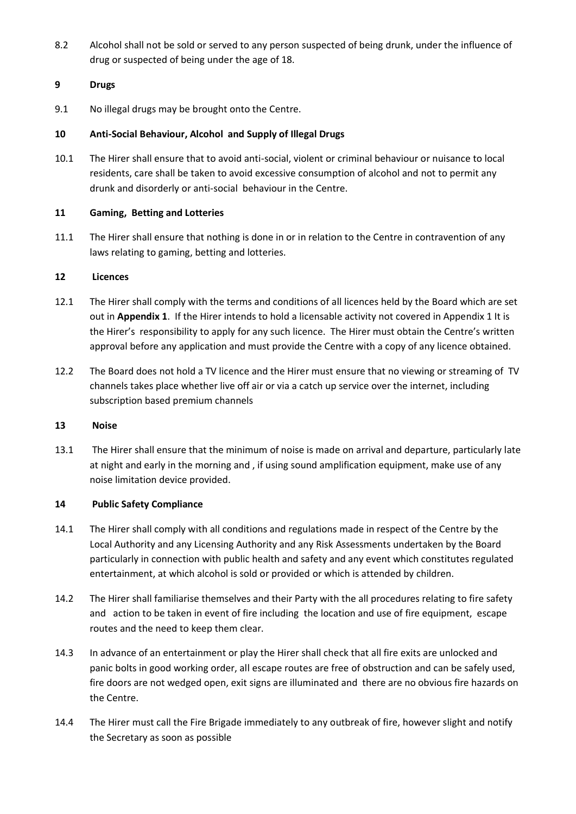8.2 Alcohol shall not be sold or served to any person suspected of being drunk, under the influence of drug or suspected of being under the age of 18.

#### **9 Drugs**

9.1 No illegal drugs may be brought onto the Centre.

#### **10 Anti-Social Behaviour, Alcohol and Supply of Illegal Drugs**

10.1 The Hirer shall ensure that to avoid anti-social, violent or criminal behaviour or nuisance to local residents, care shall be taken to avoid excessive consumption of alcohol and not to permit any drunk and disorderly or anti-social behaviour in the Centre.

#### **11 Gaming, Betting and Lotteries**

11.1 The Hirer shall ensure that nothing is done in or in relation to the Centre in contravention of any laws relating to gaming, betting and lotteries.

#### **12 Licences**

- 12.1 The Hirer shall comply with the terms and conditions of all licences held by the Board which are set out in **Appendix 1**. If the Hirer intends to hold a licensable activity not covered in Appendix 1 It is the Hirer's responsibility to apply for any such licence. The Hirer must obtain the Centre's written approval before any application and must provide the Centre with a copy of any licence obtained.
- 12.2 The Board does not hold a TV licence and the Hirer must ensure that no viewing or streaming of TV channels takes place whether live off air or via a catch up service over the internet, including subscription based premium channels

#### **13 Noise**

13.1 The Hirer shall ensure that the minimum of noise is made on arrival and departure, particularly late at night and early in the morning and , if using sound amplification equipment, make use of any noise limitation device provided.

#### **14 Public Safety Compliance**

- 14.1 The Hirer shall comply with all conditions and regulations made in respect of the Centre by the Local Authority and any Licensing Authority and any Risk Assessments undertaken by the Board particularly in connection with public health and safety and any event which constitutes regulated entertainment, at which alcohol is sold or provided or which is attended by children.
- 14.2 The Hirer shall familiarise themselves and their Party with the all procedures relating to fire safety and action to be taken in event of fire including the location and use of fire equipment, escape routes and the need to keep them clear.
- 14.3 In advance of an entertainment or play the Hirer shall check that all fire exits are unlocked and panic bolts in good working order, all escape routes are free of obstruction and can be safely used, fire doors are not wedged open, exit signs are illuminated and there are no obvious fire hazards on the Centre.
- 14.4 The Hirer must call the Fire Brigade immediately to any outbreak of fire, however slight and notify the Secretary as soon as possible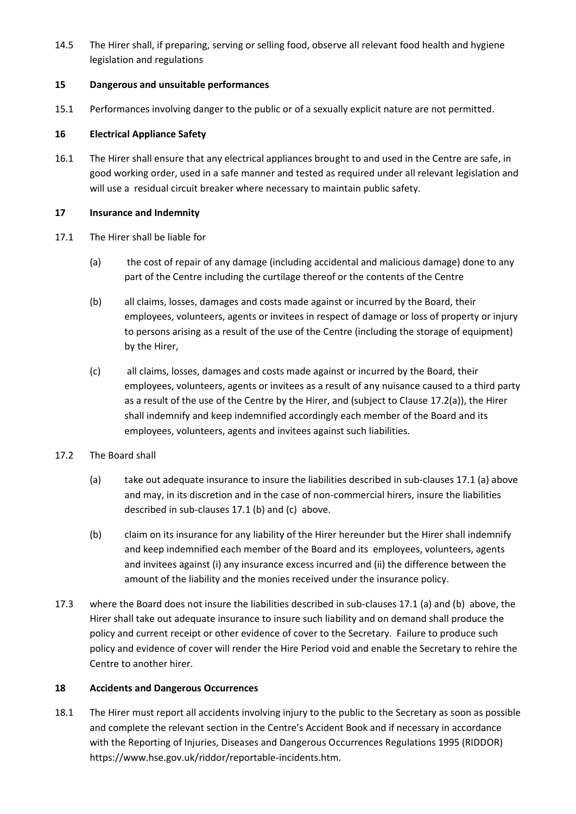14.5 The Hirer shall, if preparing, serving or selling food, observe all relevant food health and hygiene legislation and regulations

#### **15 Dangerous and unsuitable performances**

15.1 Performances involving danger to the public or of a sexually explicit nature are not permitted.

#### **16 Electrical Appliance Safety**

16.1 The Hirer shall ensure that any electrical appliances brought to and used in the Centre are safe, in good working order, used in a safe manner and tested as required under all relevant legislation and will use a residual circuit breaker where necessary to maintain public safety.

#### **17 Insurance and Indemnity**

- 17.1 The Hirer shall be liable for
	- (a) the cost of repair of any damage (including accidental and malicious damage) done to any part of the Centre including the curtilage thereof or the contents of the Centre
	- (b) all claims, losses, damages and costs made against or incurred by the Board, their employees, volunteers, agents or invitees in respect of damage or loss of property or injury to persons arising as a result of the use of the Centre (including the storage of equipment) by the Hirer,
	- (c) all claims, losses, damages and costs made against or incurred by the Board, their employees, volunteers, agents or invitees as a result of any nuisance caused to a third party as a result of the use of the Centre by the Hirer, and (subject to Clause 17.2(a)), the Hirer shall indemnify and keep indemnified accordingly each member of the Board and its employees, volunteers, agents and invitees against such liabilities.
- 17.2 The Board shall
	- (a) take out adequate insurance to insure the liabilities described in sub-clauses 17.1 (a) above and may, in its discretion and in the case of non-commercial hirers, insure the liabilities described in sub-clauses 17.1 (b) and (c) above.
	- (b) claim on its insurance for any liability of the Hirer hereunder but the Hirer shall indemnify and keep indemnified each member of the Board and its employees, volunteers, agents and invitees against (i) any insurance excess incurred and (ii) the difference between the amount of the liability and the monies received under the insurance policy.
- 17.3 where the Board does not insure the liabilities described in sub-clauses 17.1 (a) and (b) above, the Hirer shall take out adequate insurance to insure such liability and on demand shall produce the policy and current receipt or other evidence of cover to the Secretary. Failure to produce such policy and evidence of cover will render the Hire Period void and enable the Secretary to rehire the Centre to another hirer.

#### **18 Accidents and Dangerous Occurrences**

18.1 The Hirer must report all accidents involving injury to the public to the Secretary as soon as possible and complete the relevant section in the Centre's Accident Book and if necessary in accordance with the Reporting of Injuries, Diseases and Dangerous Occurrences Regulations 1995 (RIDDOR) https://www.hse.gov.uk/riddor/reportable-incidents.htm.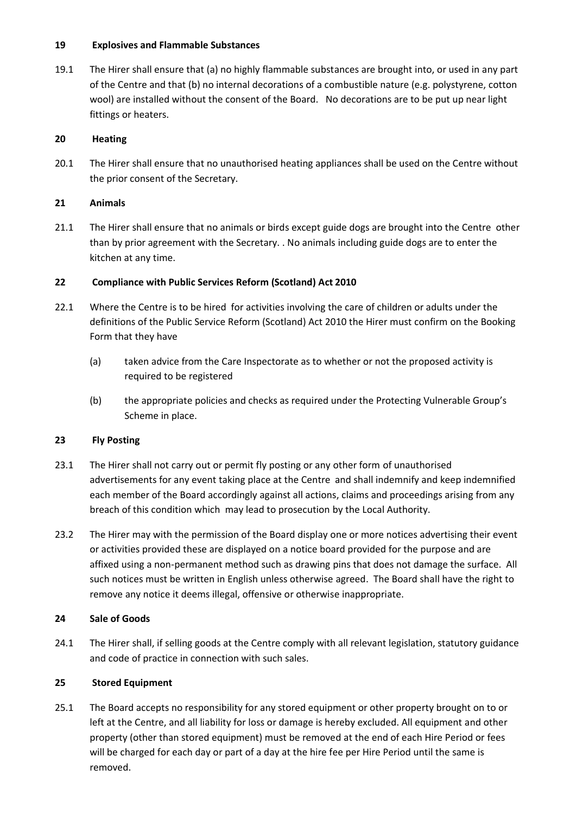#### **19 Explosives and Flammable Substances**

19.1 The Hirer shall ensure that (a) no highly flammable substances are brought into, or used in any part of the Centre and that (b) no internal decorations of a combustible nature (e.g. polystyrene, cotton wool) are installed without the consent of the Board. No decorations are to be put up near light fittings or heaters.

#### **20 Heating**

20.1 The Hirer shall ensure that no unauthorised heating appliances shall be used on the Centre without the prior consent of the Secretary.

#### **21 Animals**

21.1 The Hirer shall ensure that no animals or birds except guide dogs are brought into the Centre other than by prior agreement with the Secretary. . No animals including guide dogs are to enter the kitchen at any time.

#### **22 Compliance with Public Services Reform (Scotland) Act 2010**

- 22.1 Where the Centre is to be hired for activities involving the care of children or adults under the definitions of the Public Service Reform (Scotland) Act 2010 the Hirer must confirm on the Booking Form that they have
	- (a) taken advice from the Care Inspectorate as to whether or not the proposed activity is required to be registered
	- (b) the appropriate policies and checks as required under the Protecting Vulnerable Group's Scheme in place.

#### **23 Fly Posting**

- 23.1 The Hirer shall not carry out or permit fly posting or any other form of unauthorised advertisements for any event taking place at the Centre and shall indemnify and keep indemnified each member of the Board accordingly against all actions, claims and proceedings arising from any breach of this condition which may lead to prosecution by the Local Authority.
- 23.2 The Hirer may with the permission of the Board display one or more notices advertising their event or activities provided these are displayed on a notice board provided for the purpose and are affixed using a non-permanent method such as drawing pins that does not damage the surface. All such notices must be written in English unless otherwise agreed. The Board shall have the right to remove any notice it deems illegal, offensive or otherwise inappropriate.

#### **24 Sale of Goods**

24.1 The Hirer shall, if selling goods at the Centre comply with all relevant legislation, statutory guidance and code of practice in connection with such sales.

#### **25 Stored Equipment**

25.1 The Board accepts no responsibility for any stored equipment or other property brought on to or left at the Centre, and all liability for loss or damage is hereby excluded. All equipment and other property (other than stored equipment) must be removed at the end of each Hire Period or fees will be charged for each day or part of a day at the hire fee per Hire Period until the same is removed.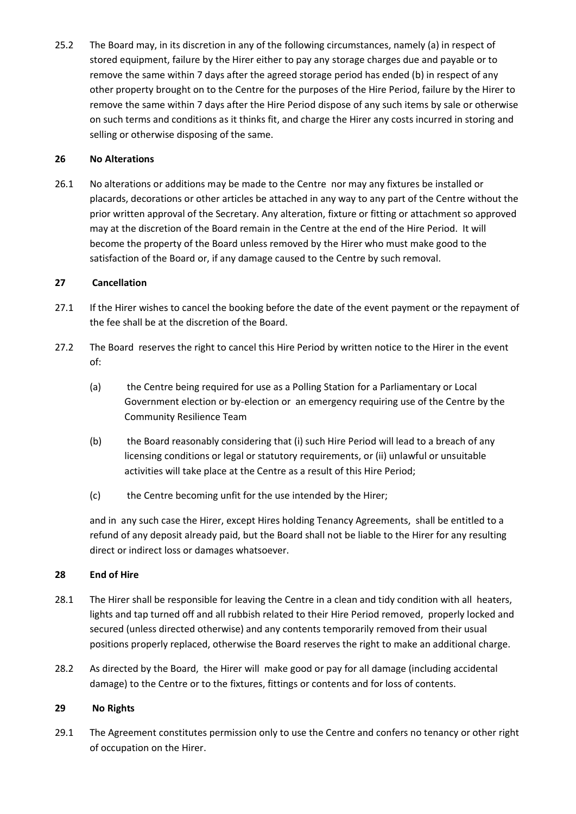25.2 The Board may, in its discretion in any of the following circumstances, namely (a) in respect of stored equipment, failure by the Hirer either to pay any storage charges due and payable or to remove the same within 7 days after the agreed storage period has ended (b) in respect of any other property brought on to the Centre for the purposes of the Hire Period, failure by the Hirer to remove the same within 7 days after the Hire Period dispose of any such items by sale or otherwise on such terms and conditions as it thinks fit, and charge the Hirer any costs incurred in storing and selling or otherwise disposing of the same.

#### **26 No Alterations**

26.1 No alterations or additions may be made to the Centre nor may any fixtures be installed or placards, decorations or other articles be attached in any way to any part of the Centre without the prior written approval of the Secretary. Any alteration, fixture or fitting or attachment so approved may at the discretion of the Board remain in the Centre at the end of the Hire Period. It will become the property of the Board unless removed by the Hirer who must make good to the satisfaction of the Board or, if any damage caused to the Centre by such removal.

#### **27 Cancellation**

- 27.1 If the Hirer wishes to cancel the booking before the date of the event payment or the repayment of the fee shall be at the discretion of the Board.
- 27.2 The Board reserves the right to cancel this Hire Period by written notice to the Hirer in the event of:
	- (a) the Centre being required for use as a Polling Station for a Parliamentary or Local Government election or by-election or an emergency requiring use of the Centre by the Community Resilience Team
	- (b) the Board reasonably considering that (i) such Hire Period will lead to a breach of any licensing conditions or legal or statutory requirements, or (ii) unlawful or unsuitable activities will take place at the Centre as a result of this Hire Period;
	- (c) the Centre becoming unfit for the use intended by the Hirer;

and in any such case the Hirer, except Hires holding Tenancy Agreements, shall be entitled to a refund of any deposit already paid, but the Board shall not be liable to the Hirer for any resulting direct or indirect loss or damages whatsoever.

#### **28 End of Hire**

- 28.1 The Hirer shall be responsible for leaving the Centre in a clean and tidy condition with all heaters, lights and tap turned off and all rubbish related to their Hire Period removed, properly locked and secured (unless directed otherwise) and any contents temporarily removed from their usual positions properly replaced, otherwise the Board reserves the right to make an additional charge.
- 28.2 As directed by the Board, the Hirer will make good or pay for all damage (including accidental damage) to the Centre or to the fixtures, fittings or contents and for loss of contents.

#### **29 No Rights**

29.1 The Agreement constitutes permission only to use the Centre and confers no tenancy or other right of occupation on the Hirer.